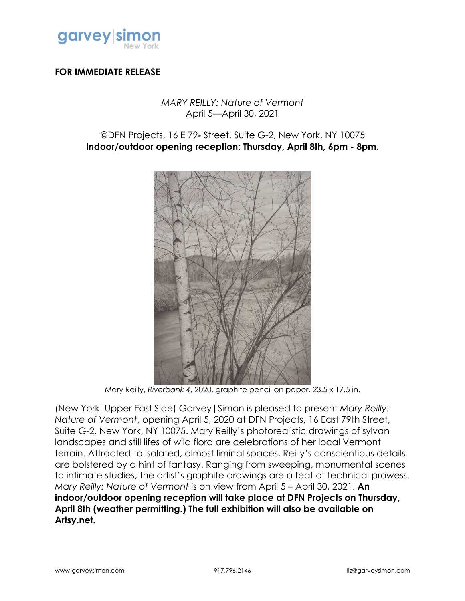

## **FOR IMMEDIATE RELEASE**

## *MARY REILLY: Nature of Vermont* April 5—April 30, 2021

## @DFN Projects, 16 E 79<sup>th</sup> Street, Suite G-2, New York, NY 10075 **Indoor/outdoor opening reception: Thursday, April 8th, 6pm - 8pm.**



Mary Reilly, *Riverbank 4*, 2020, graphite pencil on paper, 23.5 x 17.5 in.

(New York: Upper East Side) Garvey|Simon is pleased to present *Mary Reilly: Nature of Vermont*, opening April 5, 2020 at DFN Projects, 16 East 79th Street, Suite G-2, New York, NY 10075. Mary Reilly's photorealistic drawings of sylvan landscapes and still lifes of wild flora are celebrations of her local Vermont terrain. Attracted to isolated, almost liminal spaces, Reilly's conscientious details are bolstered by a hint of fantasy. Ranging from sweeping, monumental scenes to intimate studies, the artist's graphite drawings are a feat of technical prowess. *Mary Reilly: Nature of Vermont* is on view from April 5 – April 30, 2021. **An indoor/outdoor opening reception will take place at DFN Projects on Thursday, April 8th (weather permitting.) The full exhibition will also be available on Artsy.net.**